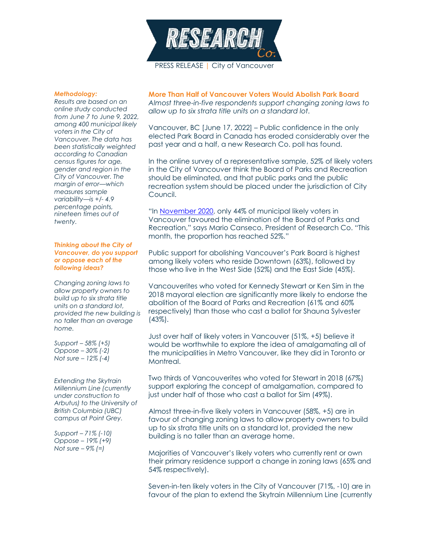

## *Methodology:*

*Results are based on an online study conducted from June 7 to June 9, 2022, among 400 municipal likely voters in the City of Vancouver. The data has been statistically weighted according to Canadian census figures for age, gender and region in the City of Vancouver. The margin of error—which measures sample variability—is +/- 4.9 percentage points, nineteen times out of twenty.*

## *Thinking about the City of Vancouver, do you support or oppose each of the following ideas?*

*Changing zoning laws to allow property owners to build up to six strata title units on a standard lot, provided the new building is no taller than an average home.*

*Support – 58% (+5) Oppose – 30% (-2) Not sure – 12% (-4)*

*Extending the Skytrain Millennium Line (currently under construction to Arbutus) to the University of British Columbia (UBC) campus at Point Grey.*

*Support – 71% (-10) Oppose – 19% (+9) Not sure – 9% (=)*

**More Than Half of Vancouver Voters Would Abolish Park Board** *Almost three-in-five respondents support changing zoning laws to allow up to six strata title units on a standard lot.*

Vancouver, BC [June 17, 2022] – Public confidence in the only elected Park Board in Canada has eroded considerably over the past year and a half, a new Research Co. poll has found.

In the online survey of a representative sample, 52% of likely voters in the City of Vancouver think the Board of Parks and Recreation should be eliminated, and that public parks and the public recreation system should be placed under the jurisdiction of City Council.

"In [November 2020,](https://researchco.ca/2020/11/20/vancouver-issues/) only 44% of municipal likely voters in Vancouver favoured the elimination of the Board of Parks and Recreation," says Mario Canseco, President of Research Co. "This month, the proportion has reached 52%."

Public support for abolishing Vancouver's Park Board is highest among likely voters who reside Downtown (63%), followed by those who live in the West Side (52%) and the East Side (45%).

Vancouverites who voted for Kennedy Stewart or Ken Sim in the 2018 mayoral election are significantly more likely to endorse the abolition of the Board of Parks and Recreation (61% and 60% respectively) than those who cast a ballot for Shauna Sylvester (43%).

Just over half of likely voters in Vancouver (51%, +5) believe it would be worthwhile to explore the idea of amalgamating all of the municipalities in Metro Vancouver, like they did in Toronto or Montreal.

Two thirds of Vancouverites who voted for Stewart in 2018 (67%) support exploring the concept of amalgamation, compared to just under half of those who cast a ballot for Sim (49%).

Almost three-in-five likely voters in Vancouver (58%, +5) are in favour of changing zoning laws to allow property owners to build up to six strata title units on a standard lot, provided the new building is no taller than an average home.

Majorities of Vancouver's likely voters who currently rent or own their primary residence support a change in zoning laws (65% and 54% respectively).

Seven-in-ten likely voters in the City of Vancouver (71%, -10) are in favour of the plan to extend the Skytrain Millennium Line (currently